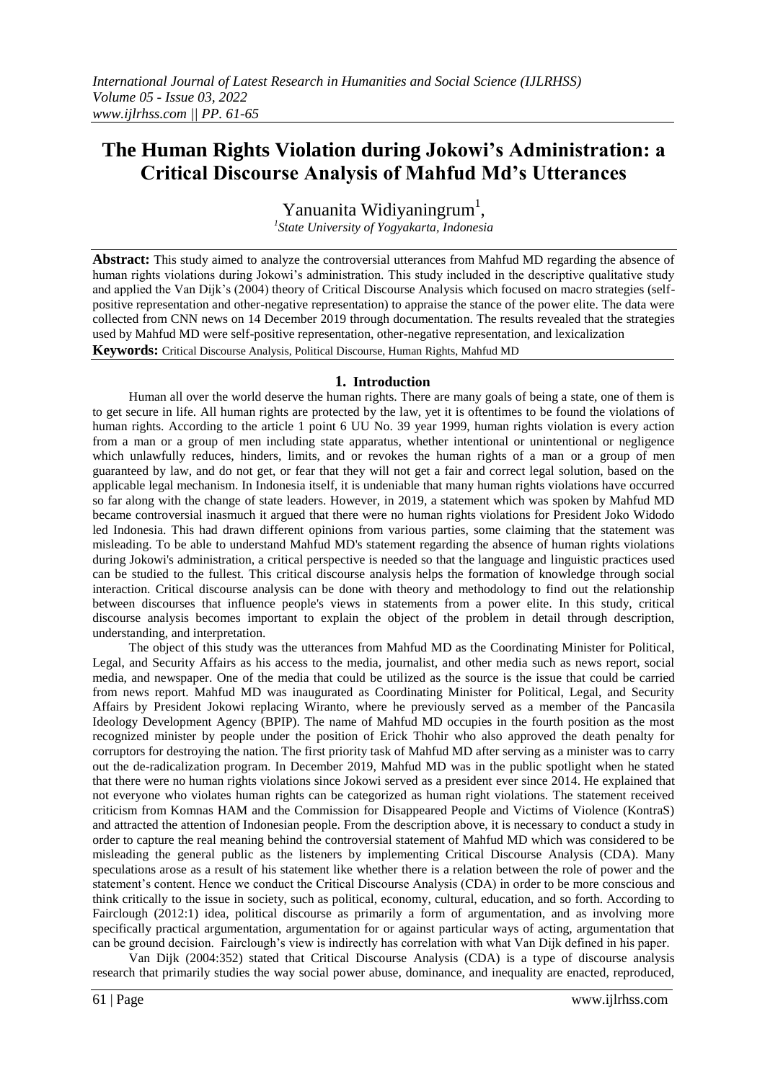# **The Human Rights Violation during Jokowi's Administration: a Critical Discourse Analysis of Mahfud Md's Utterances**

Yanuanita Widiyaningrum<sup>1</sup>, *1 State University of Yogyakarta, Indonesia*

**Abstract:** This study aimed to analyze the controversial utterances from Mahfud MD regarding the absence of human rights violations during Jokowi's administration. This study included in the descriptive qualitative study and applied the Van Dijk"s (2004) theory of Critical Discourse Analysis which focused on macro strategies (selfpositive representation and other-negative representation) to appraise the stance of the power elite. The data were collected from CNN news on 14 December 2019 through documentation. The results revealed that the strategies used by Mahfud MD were self-positive representation, other-negative representation, and lexicalization **Keywords:** Critical Discourse Analysis, Political Discourse, Human Rights, Mahfud MD

#### **1. Introduction**

Human all over the world deserve the human rights. There are many goals of being a state, one of them is to get secure in life. All human rights are protected by the law, yet it is oftentimes to be found the violations of human rights. According to the article 1 point 6 UU No. 39 year 1999, human rights violation is every action from a man or a group of men including state apparatus, whether intentional or unintentional or negligence which unlawfully reduces, hinders, limits, and or revokes the human rights of a man or a group of men guaranteed by law, and do not get, or fear that they will not get a fair and correct legal solution, based on the applicable legal mechanism. In Indonesia itself, it is undeniable that many human rights violations have occurred so far along with the change of state leaders. However, in 2019, a statement which was spoken by Mahfud MD became controversial inasmuch it argued that there were no human rights violations for President Joko Widodo led Indonesia. This had drawn different opinions from various parties, some claiming that the statement was misleading. To be able to understand Mahfud MD's statement regarding the absence of human rights violations during Jokowi's administration, a critical perspective is needed so that the language and linguistic practices used can be studied to the fullest. This critical discourse analysis helps the formation of knowledge through social interaction. Critical discourse analysis can be done with theory and methodology to find out the relationship between discourses that influence people's views in statements from a power elite. In this study, critical discourse analysis becomes important to explain the object of the problem in detail through description, understanding, and interpretation.

The object of this study was the utterances from Mahfud MD as the Coordinating Minister for Political, Legal, and Security Affairs as his access to the media, journalist, and other media such as news report, social media, and newspaper. One of the media that could be utilized as the source is the issue that could be carried from news report. Mahfud MD was inaugurated as Coordinating Minister for Political, Legal, and Security Affairs by President Jokowi replacing Wiranto, where he previously served as a member of the Pancasila Ideology Development Agency (BPIP). The name of Mahfud MD occupies in the fourth position as the most recognized minister by people under the position of Erick Thohir who also approved the death penalty for corruptors for destroying the nation. The first priority task of Mahfud MD after serving as a minister was to carry out the de-radicalization program. In December 2019, Mahfud MD was in the public spotlight when he stated that there were no human rights violations since Jokowi served as a president ever since 2014. He explained that not everyone who violates human rights can be categorized as human right violations. The statement received criticism from Komnas HAM and the Commission for Disappeared People and Victims of Violence (KontraS) and attracted the attention of Indonesian people. From the description above, it is necessary to conduct a study in order to capture the real meaning behind the controversial statement of Mahfud MD which was considered to be misleading the general public as the listeners by implementing Critical Discourse Analysis (CDA). Many speculations arose as a result of his statement like whether there is a relation between the role of power and the statement"s content. Hence we conduct the Critical Discourse Analysis (CDA) in order to be more conscious and think critically to the issue in society, such as political, economy, cultural, education, and so forth. According to Fairclough (2012:1) idea, political discourse as primarily a form of argumentation, and as involving more specifically practical argumentation, argumentation for or against particular ways of acting, argumentation that can be ground decision. Fairclough"s view is indirectly has correlation with what Van Dijk defined in his paper.

Van Dijk (2004:352) stated that Critical Discourse Analysis (CDA) is a type of discourse analysis research that primarily studies the way social power abuse, dominance, and inequality are enacted, reproduced,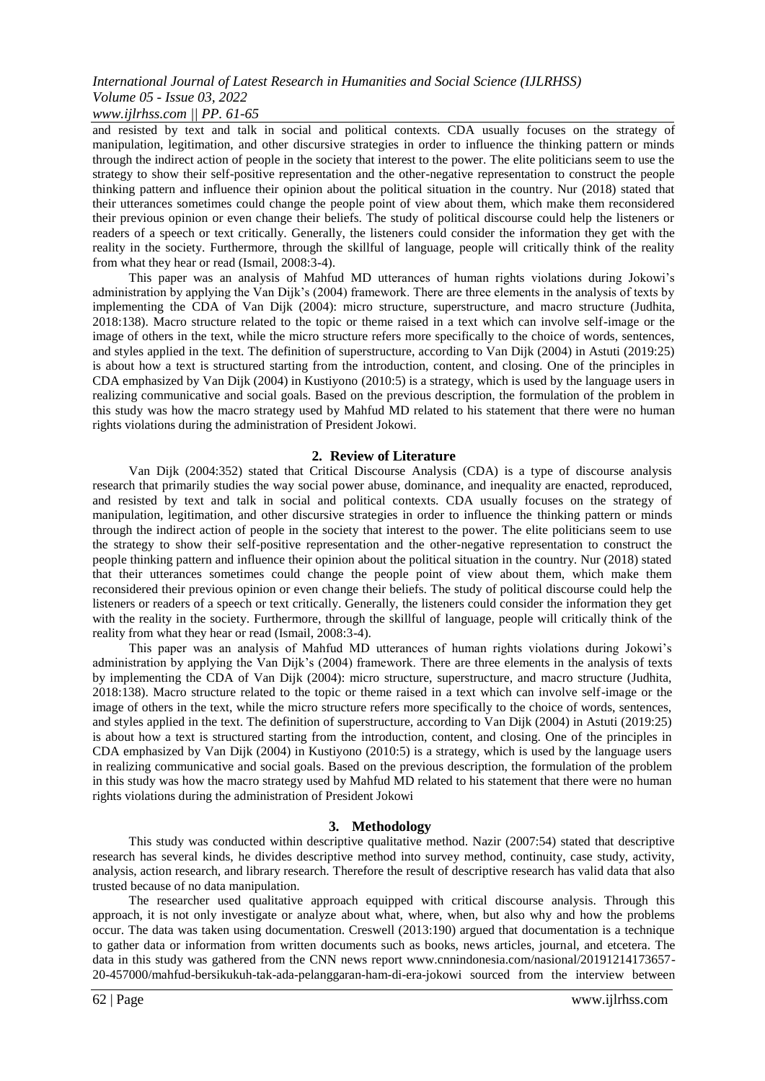## *International Journal of Latest Research in Humanities and Social Science (IJLRHSS) Volume 05 - Issue 03, 2022*

### *www.ijlrhss.com || PP. 61-65*

and resisted by text and talk in social and political contexts. CDA usually focuses on the strategy of manipulation, legitimation, and other discursive strategies in order to influence the thinking pattern or minds through the indirect action of people in the society that interest to the power. The elite politicians seem to use the strategy to show their self-positive representation and the other-negative representation to construct the people thinking pattern and influence their opinion about the political situation in the country. Nur (2018) stated that their utterances sometimes could change the people point of view about them, which make them reconsidered their previous opinion or even change their beliefs. The study of political discourse could help the listeners or readers of a speech or text critically. Generally, the listeners could consider the information they get with the reality in the society. Furthermore, through the skillful of language, people will critically think of the reality from what they hear or read (Ismail, 2008:3-4).

This paper was an analysis of Mahfud MD utterances of human rights violations during Jokowi"s administration by applying the Van Dijk"s (2004) framework. There are three elements in the analysis of texts by implementing the CDA of Van Dijk (2004): micro structure, superstructure, and macro structure (Judhita, 2018:138). Macro structure related to the topic or theme raised in a text which can involve self-image or the image of others in the text, while the micro structure refers more specifically to the choice of words, sentences, and styles applied in the text. The definition of superstructure, according to Van Dijk (2004) in Astuti (2019:25) is about how a text is structured starting from the introduction, content, and closing. One of the principles in CDA emphasized by Van Dijk (2004) in Kustiyono (2010:5) is a strategy, which is used by the language users in realizing communicative and social goals. Based on the previous description, the formulation of the problem in this study was how the macro strategy used by Mahfud MD related to his statement that there were no human rights violations during the administration of President Jokowi.

#### **2. Review of Literature**

Van Dijk (2004:352) stated that Critical Discourse Analysis (CDA) is a type of discourse analysis research that primarily studies the way social power abuse, dominance, and inequality are enacted, reproduced, and resisted by text and talk in social and political contexts. CDA usually focuses on the strategy of manipulation, legitimation, and other discursive strategies in order to influence the thinking pattern or minds through the indirect action of people in the society that interest to the power. The elite politicians seem to use the strategy to show their self-positive representation and the other-negative representation to construct the people thinking pattern and influence their opinion about the political situation in the country. Nur (2018) stated that their utterances sometimes could change the people point of view about them, which make them reconsidered their previous opinion or even change their beliefs. The study of political discourse could help the listeners or readers of a speech or text critically. Generally, the listeners could consider the information they get with the reality in the society. Furthermore, through the skillful of language, people will critically think of the reality from what they hear or read (Ismail, 2008:3-4).

This paper was an analysis of Mahfud MD utterances of human rights violations during Jokowi"s administration by applying the Van Dijk"s (2004) framework. There are three elements in the analysis of texts by implementing the CDA of Van Dijk (2004): micro structure, superstructure, and macro structure (Judhita, 2018:138). Macro structure related to the topic or theme raised in a text which can involve self-image or the image of others in the text, while the micro structure refers more specifically to the choice of words, sentences, and styles applied in the text. The definition of superstructure, according to Van Dijk (2004) in Astuti (2019:25) is about how a text is structured starting from the introduction, content, and closing. One of the principles in CDA emphasized by Van Dijk (2004) in Kustiyono (2010:5) is a strategy, which is used by the language users in realizing communicative and social goals. Based on the previous description, the formulation of the problem in this study was how the macro strategy used by Mahfud MD related to his statement that there were no human rights violations during the administration of President Jokowi

#### **3. Methodology**

This study was conducted within descriptive qualitative method. Nazir (2007:54) stated that descriptive research has several kinds, he divides descriptive method into survey method, continuity, case study, activity, analysis, action research, and library research. Therefore the result of descriptive research has valid data that also trusted because of no data manipulation.

The researcher used qualitative approach equipped with critical discourse analysis. Through this approach, it is not only investigate or analyze about what, where, when, but also why and how the problems occur. The data was taken using documentation. Creswell (2013:190) argued that documentation is a technique to gather data or information from written documents such as books, news articles, journal, and etcetera. The data in this study was gathered from the CNN news report www.cnnindonesia.com/nasional/20191214173657- 20-457000/mahfud-bersikukuh-tak-ada-pelanggaran-ham-di-era-jokowi sourced from the interview between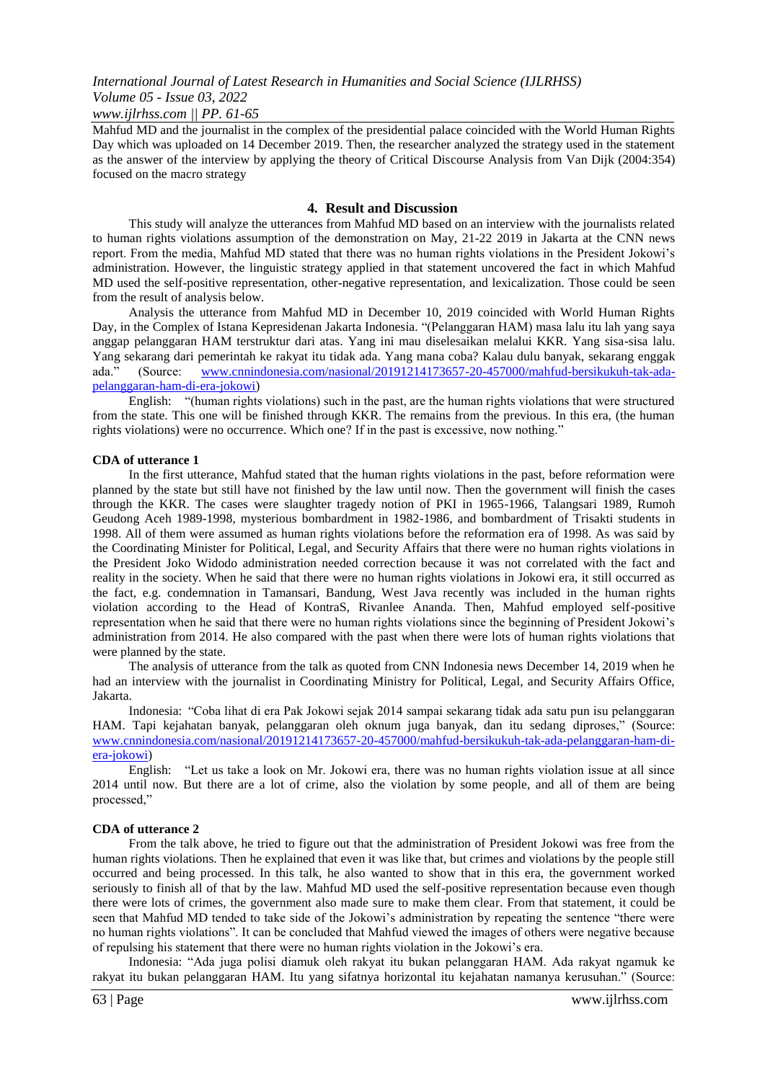*www.ijlrhss.com || PP. 61-65*

Mahfud MD and the journalist in the complex of the presidential palace coincided with the World Human Rights Day which was uploaded on 14 December 2019. Then, the researcher analyzed the strategy used in the statement as the answer of the interview by applying the theory of Critical Discourse Analysis from Van Dijk (2004:354) focused on the macro strategy

#### **4. Result and Discussion**

This study will analyze the utterances from Mahfud MD based on an interview with the journalists related to human rights violations assumption of the demonstration on May, 21-22 2019 in Jakarta at the CNN news report. From the media, Mahfud MD stated that there was no human rights violations in the President Jokowi"s administration. However, the linguistic strategy applied in that statement uncovered the fact in which Mahfud MD used the self-positive representation, other-negative representation, and lexicalization. Those could be seen from the result of analysis below.

Analysis the utterance from Mahfud MD in December 10, 2019 coincided with World Human Rights Day, in the Complex of Istana Kepresidenan Jakarta Indonesia. "(Pelanggaran HAM) masa lalu itu lah yang saya anggap pelanggaran HAM terstruktur dari atas. Yang ini mau diselesaikan melalui KKR. Yang sisa-sisa lalu. Yang sekarang dari pemerintah ke rakyat itu tidak ada. Yang mana coba? Kalau dulu banyak, sekarang enggak [www.cnnindonesia.com/nasional/20191214173657-20-457000/mahfud-bersikukuh-tak-ada](http://www.cnnindonesia.com/nasional/20191214173657-20-457000/mahfud-bersikukuh-tak-ada-pelanggaran-ham-di-era-jokowi)[pelanggaran-ham-di-era-jokowi\)](http://www.cnnindonesia.com/nasional/20191214173657-20-457000/mahfud-bersikukuh-tak-ada-pelanggaran-ham-di-era-jokowi)

English: "(human rights violations) such in the past, are the human rights violations that were structured from the state. This one will be finished through KKR. The remains from the previous. In this era, (the human rights violations) were no occurrence. Which one? If in the past is excessive, now nothing."

#### **CDA of utterance 1**

In the first utterance, Mahfud stated that the human rights violations in the past, before reformation were planned by the state but still have not finished by the law until now. Then the government will finish the cases through the KKR. The cases were slaughter tragedy notion of PKI in 1965-1966, Talangsari 1989, Rumoh Geudong Aceh 1989-1998, mysterious bombardment in 1982-1986, and bombardment of Trisakti students in 1998. All of them were assumed as human rights violations before the reformation era of 1998. As was said by the Coordinating Minister for Political, Legal, and Security Affairs that there were no human rights violations in the President Joko Widodo administration needed correction because it was not correlated with the fact and reality in the society. When he said that there were no human rights violations in Jokowi era, it still occurred as the fact, e.g. condemnation in Tamansari, Bandung, West Java recently was included in the human rights violation according to the Head of KontraS, Rivanlee Ananda. Then, Mahfud employed self-positive representation when he said that there were no human rights violations since the beginning of President Jokowi"s administration from 2014. He also compared with the past when there were lots of human rights violations that were planned by the state.

The analysis of utterance from the talk as quoted from CNN Indonesia news December 14, 2019 when he had an interview with the journalist in Coordinating Ministry for Political, Legal, and Security Affairs Office, Jakarta.

Indonesia: "Coba lihat di era Pak Jokowi sejak 2014 sampai sekarang tidak ada satu pun isu pelanggaran HAM. Tapi kejahatan banyak, pelanggaran oleh oknum juga banyak, dan itu sedang diproses," (Source: [www.cnnindonesia.com/nasional/20191214173657-20-457000/mahfud-bersikukuh-tak-ada-pelanggaran-ham-di](http://www.cnnindonesia.com/nasional/20191214173657-20-457000/mahfud-bersikukuh-tak-ada-pelanggaran-ham-di-era-jokowi)[era-jokowi\)](http://www.cnnindonesia.com/nasional/20191214173657-20-457000/mahfud-bersikukuh-tak-ada-pelanggaran-ham-di-era-jokowi)

English: "Let us take a look on Mr. Jokowi era, there was no human rights violation issue at all since 2014 until now. But there are a lot of crime, also the violation by some people, and all of them are being processed,"

#### **CDA of utterance 2**

From the talk above, he tried to figure out that the administration of President Jokowi was free from the human rights violations. Then he explained that even it was like that, but crimes and violations by the people still occurred and being processed. In this talk, he also wanted to show that in this era, the government worked seriously to finish all of that by the law. Mahfud MD used the self-positive representation because even though there were lots of crimes, the government also made sure to make them clear. From that statement, it could be seen that Mahfud MD tended to take side of the Jokowi"s administration by repeating the sentence "there were no human rights violations". It can be concluded that Mahfud viewed the images of others were negative because of repulsing his statement that there were no human rights violation in the Jokowi"s era.

Indonesia: "Ada juga polisi diamuk oleh rakyat itu bukan pelanggaran HAM. Ada rakyat ngamuk ke rakyat itu bukan pelanggaran HAM. Itu yang sifatnya horizontal itu kejahatan namanya kerusuhan." (Source: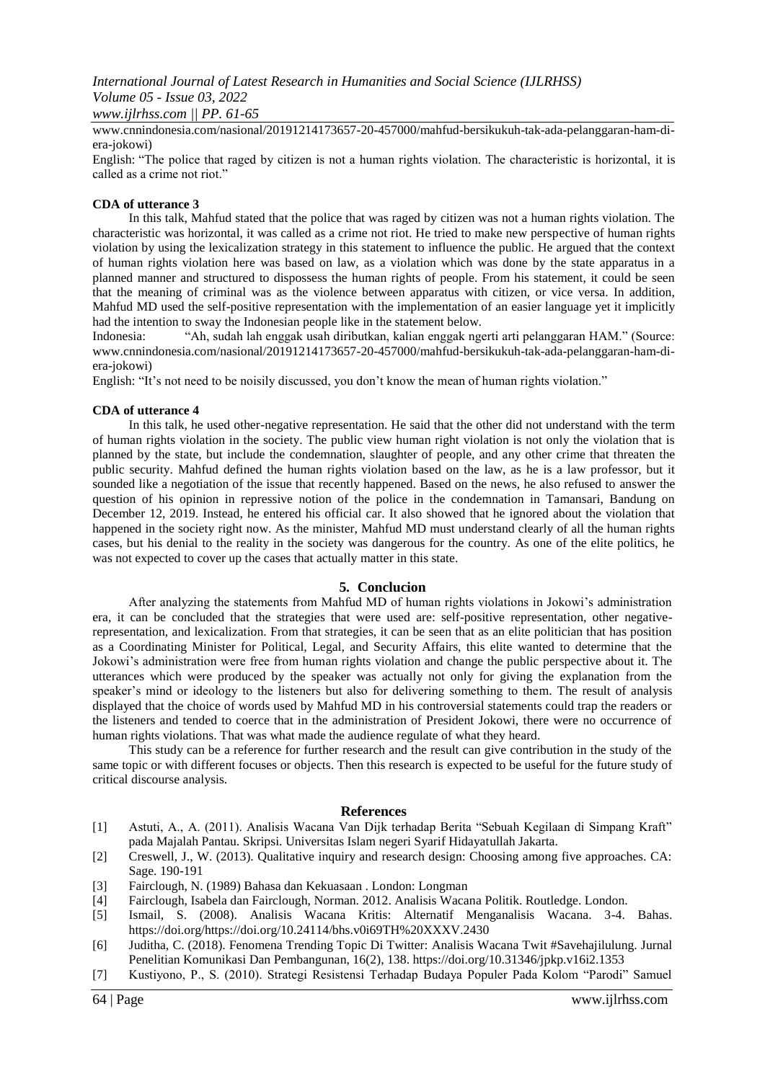*International Journal of Latest Research in Humanities and Social Science (IJLRHSS) Volume 05 - Issue 03, 2022*

*www.ijlrhss.com || PP. 61-65*

www.cnnindonesia.com/nasional/20191214173657-20-457000/mahfud-bersikukuh-tak-ada-pelanggaran-ham-diera-jokowi)

English: "The police that raged by citizen is not a human rights violation. The characteristic is horizontal, it is called as a crime not riot."

#### **CDA of utterance 3**

In this talk, Mahfud stated that the police that was raged by citizen was not a human rights violation. The characteristic was horizontal, it was called as a crime not riot. He tried to make new perspective of human rights violation by using the lexicalization strategy in this statement to influence the public. He argued that the context of human rights violation here was based on law, as a violation which was done by the state apparatus in a planned manner and structured to dispossess the human rights of people. From his statement, it could be seen that the meaning of criminal was as the violence between apparatus with citizen, or vice versa. In addition, Mahfud MD used the self-positive representation with the implementation of an easier language yet it implicitly had the intention to sway the Indonesian people like in the statement below.

Indonesia: "Ah, sudah lah enggak usah diributkan, kalian enggak ngerti arti pelanggaran HAM." (Source: www.cnnindonesia.com/nasional/20191214173657-20-457000/mahfud-bersikukuh-tak-ada-pelanggaran-ham-diera-jokowi)

English: "It's not need to be noisily discussed, you don't know the mean of human rights violation."

#### **CDA of utterance 4**

In this talk, he used other-negative representation. He said that the other did not understand with the term of human rights violation in the society. The public view human right violation is not only the violation that is planned by the state, but include the condemnation, slaughter of people, and any other crime that threaten the public security. Mahfud defined the human rights violation based on the law, as he is a law professor, but it sounded like a negotiation of the issue that recently happened. Based on the news, he also refused to answer the question of his opinion in repressive notion of the police in the condemnation in Tamansari, Bandung on December 12, 2019. Instead, he entered his official car. It also showed that he ignored about the violation that happened in the society right now. As the minister, Mahfud MD must understand clearly of all the human rights cases, but his denial to the reality in the society was dangerous for the country. As one of the elite politics, he was not expected to cover up the cases that actually matter in this state.

#### **5. Conclucion**

After analyzing the statements from Mahfud MD of human rights violations in Jokowi"s administration era, it can be concluded that the strategies that were used are: self-positive representation, other negativerepresentation, and lexicalization. From that strategies, it can be seen that as an elite politician that has position as a Coordinating Minister for Political, Legal, and Security Affairs, this elite wanted to determine that the Jokowi"s administration were free from human rights violation and change the public perspective about it. The utterances which were produced by the speaker was actually not only for giving the explanation from the speaker"s mind or ideology to the listeners but also for delivering something to them. The result of analysis displayed that the choice of words used by Mahfud MD in his controversial statements could trap the readers or the listeners and tended to coerce that in the administration of President Jokowi, there were no occurrence of human rights violations. That was what made the audience regulate of what they heard.

This study can be a reference for further research and the result can give contribution in the study of the same topic or with different focuses or objects. Then this research is expected to be useful for the future study of critical discourse analysis.

#### **References**

- [1] Astuti, A., A. (2011). Analisis Wacana Van Dijk terhadap Berita "Sebuah Kegilaan di Simpang Kraft" pada Majalah Pantau. Skripsi. Universitas Islam negeri Syarif Hidayatullah Jakarta.
- [2] Creswell, J., W. (2013). Qualitative inquiry and research design: Choosing among five approaches. CA: Sage. 190-191
- [3] Fairclough, N. (1989) Bahasa dan Kekuasaan . London: Longman
- [4] Fairclough, Isabela dan Fairclough, Norman. 2012. Analisis Wacana Politik. Routledge. London.
- [5] Ismail, S. (2008). Analisis Wacana Kritis: Alternatif Menganalisis Wacana. 3-4. Bahas. https://doi.org/https://doi.org/10.24114/bhs.v0i69TH%20XXXV.2430
- [6] Juditha, C. (2018). Fenomena Trending Topic Di Twitter: Analisis Wacana Twit #Savehajilulung. Jurnal Penelitian Komunikasi Dan Pembangunan, 16(2), 138. https://doi.org/10.31346/jpkp.v16i2.1353
- [7] Kustiyono, P., S. (2010). Strategi Resistensi Terhadap Budaya Populer Pada Kolom "Parodi" Samuel